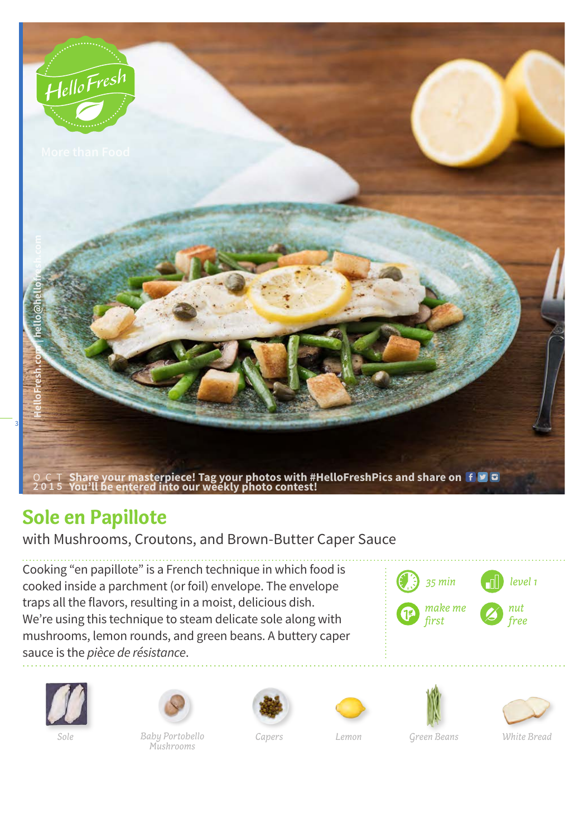

## **Sole en Papillote**

with Mushrooms, Croutons, and Brown-Butter Caper Sauce

Cooking "en papillote" is a French technique in which food is cooked inside a parchment (or foil) envelope. The envelope traps all the flavors, resulting in a moist, delicious dish. We're using this technique to steam delicate sole along with mushrooms, lemon rounds, and green beans. A buttery caper sauce is the *pièce de résistance*.







*Baby Portobello Capers Mushrooms Sole Lemon Green Beans White Bread*